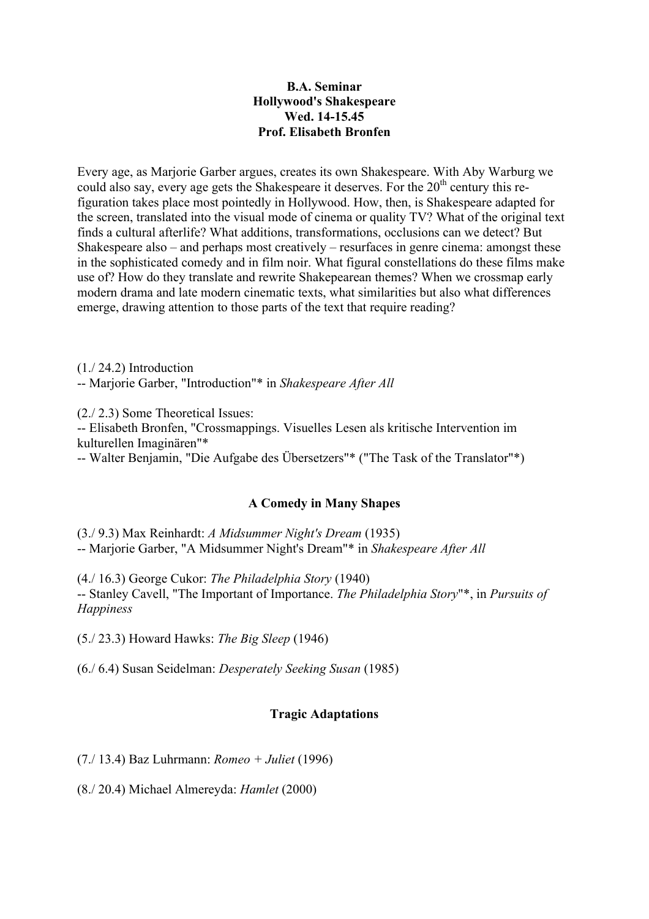## **B.A. Seminar Hollywood's Shakespeare Wed. 14-15.45 Prof. Elisabeth Bronfen**

Every age, as Marjorie Garber argues, creates its own Shakespeare. With Aby Warburg we could also say, every age gets the Shakespeare it deserves. For the  $20<sup>th</sup>$  century this refiguration takes place most pointedly in Hollywood. How, then, is Shakespeare adapted for the screen, translated into the visual mode of cinema or quality TV? What of the original text finds a cultural afterlife? What additions, transformations, occlusions can we detect? But Shakespeare also – and perhaps most creatively – resurfaces in genre cinema: amongst these in the sophisticated comedy and in film noir. What figural constellations do these films make use of? How do they translate and rewrite Shakepearean themes? When we crossmap early modern drama and late modern cinematic texts, what similarities but also what differences emerge, drawing attention to those parts of the text that require reading?

(1./ 24.2) Introduction -- Marjorie Garber, "Introduction"\* in *Shakespeare After All*

(2./ 2.3) Some Theoretical Issues:

-- Elisabeth Bronfen, "Crossmappings. Visuelles Lesen als kritische Intervention im kulturellen Imaginären"\*

-- Walter Benjamin, "Die Aufgabe des Übersetzers"\* ("The Task of the Translator"\*)

## **A Comedy in Many Shapes**

(3./ 9.3) Max Reinhardt: *A Midsummer Night's Dream* (1935) -- Marjorie Garber, "A Midsummer Night's Dream"\* in *Shakespeare After All*

(4./ 16.3) George Cukor: *The Philadelphia Story* (1940) -- Stanley Cavell, "The Important of Importance. *The Philadelphia Story*"\*, in *Pursuits of Happiness*

(5./ 23.3) Howard Hawks: *The Big Sleep* (1946)

(6./ 6.4) Susan Seidelman: *Desperately Seeking Susan* (1985)

# **Tragic Adaptations**

(7./ 13.4) Baz Luhrmann: *Romeo + Juliet* (1996)

(8./ 20.4) Michael Almereyda: *Hamlet* (2000)